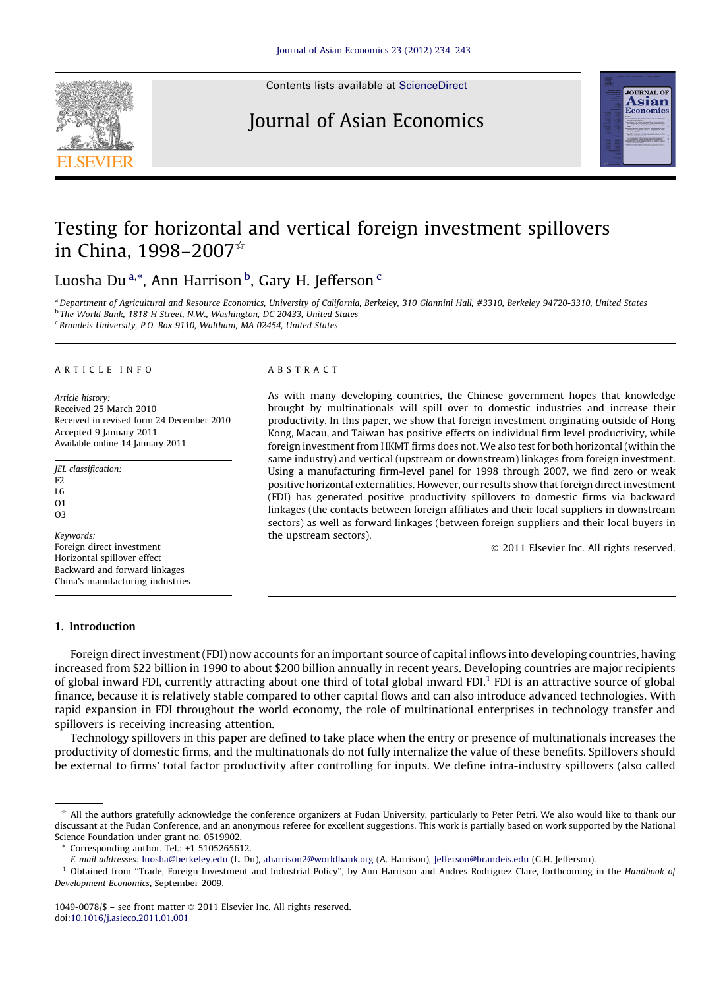

Contents lists available at [ScienceDirect](http://www.sciencedirect.com/science/journal/10490078)

## Journal of Asian Economics



## Testing for horizontal and vertical foreign investment spillovers in China, 1998–2007 $\star$

Luosha Du<sup>a,</sup>\*, Ann Harrison <sup>b</sup>, Gary H. Jefferson <sup>c</sup>

a Department of Agricultural and Resource Economics, University of California, Berkeley, 310 Giannini Hall, #3310, Berkeley 94720-3310, United States <sup>b</sup> The World Bank, 1818 H Street, N.W., Washington, DC 20433, United States <sup>c</sup> Brandeis University, P.O. Box 9110, Waltham, MA 02454, United States

#### A R T I C L E I N F O

Article history: Received 25 March 2010 Received in revised form 24 December 2010 Accepted 9 January 2011 Available online 14 January 2011

JEL classification: F2 L6  $O<sub>1</sub>$ 

O3

Keywords: Foreign direct investment Horizontal spillover effect Backward and forward linkages China's manufacturing industries

#### A B S T R A C T

As with many developing countries, the Chinese government hopes that knowledge brought by multinationals will spill over to domestic industries and increase their productivity. In this paper, we show that foreign investment originating outside of Hong Kong, Macau, and Taiwan has positive effects on individual firm level productivity, while foreign investment from HKMT firms does not. We also test for both horizontal (within the same industry) and vertical (upstream or downstream) linkages from foreign investment. Using a manufacturing firm-level panel for 1998 through 2007, we find zero or weak positive horizontal externalities. However, our results show that foreign direct investment (FDI) has generated positive productivity spillovers to domestic firms via backward linkages (the contacts between foreign affiliates and their local suppliers in downstream sectors) as well as forward linkages (between foreign suppliers and their local buyers in the upstream sectors).

- 2011 Elsevier Inc. All rights reserved.

#### 1. Introduction

Foreign direct investment (FDI) now accounts for an important source of capital inflows into developing countries, having increased from \$22 billion in 1990 to about \$200 billion annually in recent years. Developing countries are major recipients of global inward FDI, currently attracting about one third of total global inward FDI.<sup>1</sup> FDI is an attractive source of global finance, because it is relatively stable compared to other capital flows and can also introduce advanced technologies. With rapid expansion in FDI throughout the world economy, the role of multinational enterprises in technology transfer and spillovers is receiving increasing attention.

Technology spillovers in this paper are defined to take place when the entry or presence of multinationals increases the productivity of domestic firms, and the multinationals do not fully internalize the value of these benefits. Spillovers should be external to firms' total factor productivity after controlling for inputs. We define intra-industry spillovers (also called

 $^{\star}$  All the authors gratefully acknowledge the conference organizers at Fudan University, particularly to Peter Petri. We also would like to thank our discussant at the Fudan Conference, and an anonymous referee for excellent suggestions. This work is partially based on work supported by the National Science Foundation under grant no. 0519902.

Corresponding author. Tel.:  $+1$  5105265612.

E-mail addresses: [luosha@berkeley.edu](mailto:luosha@berkeley.edu) (L. Du), [aharrison2@worldbank.org](mailto:aharrison2@worldbank.org) (A. Harrison), [Jefferson@brandeis.edu](mailto:Jefferson@brandeis.edu) (G.H. Jefferson).

<sup>&</sup>lt;sup>1</sup> Obtained from "Trade, Foreign Investment and Industrial Policy", by Ann Harrison and Andres Rodriguez-Clare, forthcoming in the Handbook of Development Economics, September 2009.

 $1049-0078$  /\$ – see front matter  $\odot$  2011 Elsevier Inc. All rights reserved. doi[:10.1016/j.asieco.2011.01.001](http://dx.doi.org/10.1016/j.asieco.2011.01.001)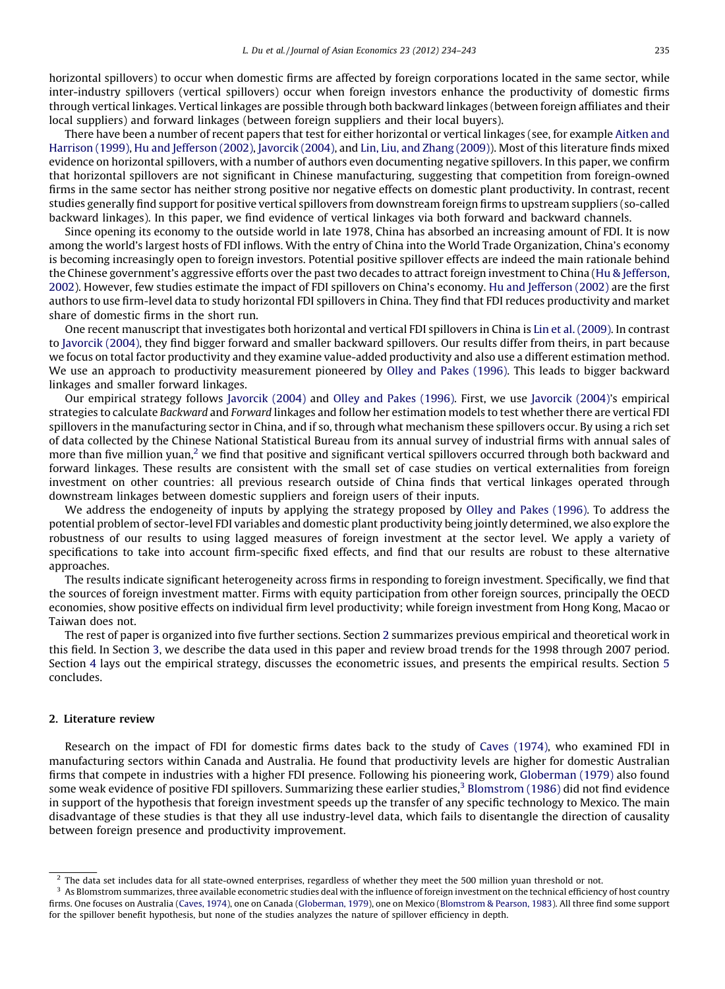horizontal spillovers) to occur when domestic firms are affected by foreign corporations located in the same sector, while inter-industry spillovers (vertical spillovers) occur when foreign investors enhance the productivity of domestic firms through vertical linkages. Vertical linkages are possible through both backward linkages (between foreign affiliates and their local suppliers) and forward linkages (between foreign suppliers and their local buyers).

There have been a number of recent papers that test for either horizontal or vertical linkages (see, for example [Aitken](#page--1-0) and [Harrison](#page--1-0) (1999), Hu and [Jefferson](#page--1-0) (2002), [Javorcik](#page--1-0) (2004), and Lin, Liu, and Zhang [\(2009\)\)](#page--1-0). Most of this literature finds mixed evidence on horizontal spillovers, with a number of authors even documenting negative spillovers. In this paper, we confirm that horizontal spillovers are not significant in Chinese manufacturing, suggesting that competition from foreign-owned firms in the same sector has neither strong positive nor negative effects on domestic plant productivity. In contrast, recent studies generally find support for positive vertical spillovers from downstream foreign firms to upstream suppliers (so-called backward linkages). In this paper, we find evidence of vertical linkages via both forward and backward channels.

Since opening its economy to the outside world in late 1978, China has absorbed an increasing amount of FDI. It is now among the world's largest hosts of FDI inflows. With the entry of China into the World Trade Organization, China's economy is becoming increasingly open to foreign investors. Potential positive spillover effects are indeed the main rationale behind the Chinese government's aggressive efforts over the past two decades to attract foreign investment to China (Hu & [Jefferson,](#page--1-0) [2002](#page--1-0)). However, few studies estimate the impact of FDI spillovers on China's economy. Hu and [Jefferson](#page--1-0) (2002) are the first authors to use firm-level data to study horizontal FDI spillovers in China. They find that FDI reduces productivity and market share of domestic firms in the short run.

One recent manuscript that investigates both horizontal and vertical FDI spillovers in China is Lin et al. [\(2009\).](#page--1-0) In contrast to [Javorcik](#page--1-0) (2004), they find bigger forward and smaller backward spillovers. Our results differ from theirs, in part because we focus on total factor productivity and they examine value-added productivity and also use a different estimation method. We use an approach to productivity measurement pioneered by Olley and Pakes [\(1996\).](#page--1-0) This leads to bigger backward linkages and smaller forward linkages.

Our empirical strategy follows [Javorcik](#page--1-0) (2004) and Olley and Pakes [\(1996\)](#page--1-0). First, we use [Javorcik](#page--1-0) (2004)'s empirical strategies to calculate Backward and Forward linkages and follow her estimation models to test whether there are vertical FDI spillovers in the manufacturing sector in China, and if so, through what mechanism these spillovers occur. By using a rich set of data collected by the Chinese National Statistical Bureau from its annual survey of industrial firms with annual sales of more than five million yuan,<sup>2</sup> we find that positive and significant vertical spillovers occurred through both backward and forward linkages. These results are consistent with the small set of case studies on vertical externalities from foreign investment on other countries: all previous research outside of China finds that vertical linkages operated through downstream linkages between domestic suppliers and foreign users of their inputs.

We address the endogeneity of inputs by applying the strategy proposed by Olley and Pakes [\(1996\).](#page--1-0) To address the potential problem of sector-level FDI variables and domestic plant productivity being jointly determined, we also explore the robustness of our results to using lagged measures of foreign investment at the sector level. We apply a variety of specifications to take into account firm-specific fixed effects, and find that our results are robust to these alternative approaches.

The results indicate significant heterogeneity across firms in responding to foreign investment. Specifically, we find that the sources of foreign investment matter. Firms with equity participation from other foreign sources, principally the OECD economies, show positive effects on individual firm level productivity; while foreign investment from Hong Kong, Macao or Taiwan does not.

The rest of paper is organized into five further sections. Section 2 summarizes previous empirical and theoretical work in this field. In Section [3,](#page--1-0) we describe the data used in this paper and review broad trends for the 1998 through 2007 period. Section [4](#page--1-0) lays out the empirical strategy, discusses the econometric issues, and presents the empirical results. Section [5](#page--1-0) concludes.

### 2. Literature review

Research on the impact of FDI for domestic firms dates back to the study of Caves [\(1974\),](#page--1-0) who examined FDI in manufacturing sectors within Canada and Australia. He found that productivity levels are higher for domestic Australian firms that compete in industries with a higher FDI presence. Following his pioneering work, [Globerman](#page--1-0) (1979) also found some weak evidence of positive FDI spillovers. Summarizing these earlier studies,<sup>3</sup> [Blomstrom](#page--1-0) (1986) did not find evidence in support of the hypothesis that foreign investment speeds up the transfer of any specific technology to Mexico. The main disadvantage of these studies is that they all use industry-level data, which fails to disentangle the direction of causality between foreign presence and productivity improvement.

<sup>&</sup>lt;sup>2</sup> The data set includes data for all state-owned enterprises, regardless of whether they meet the 500 million yuan threshold or not.

 $3$  As Blomstrom summarizes, three available econometric studies deal with the influence of foreign investment on the technical efficiency of host country firms. One focuses on Australia [\(Caves,](#page--1-0) 1974), one on Canada [\(Globerman,](#page--1-0) 1979), one on Mexico ([Blomstrom](#page--1-0) & Pearson, 1983). All three find some support for the spillover benefit hypothesis, but none of the studies analyzes the nature of spillover efficiency in depth.